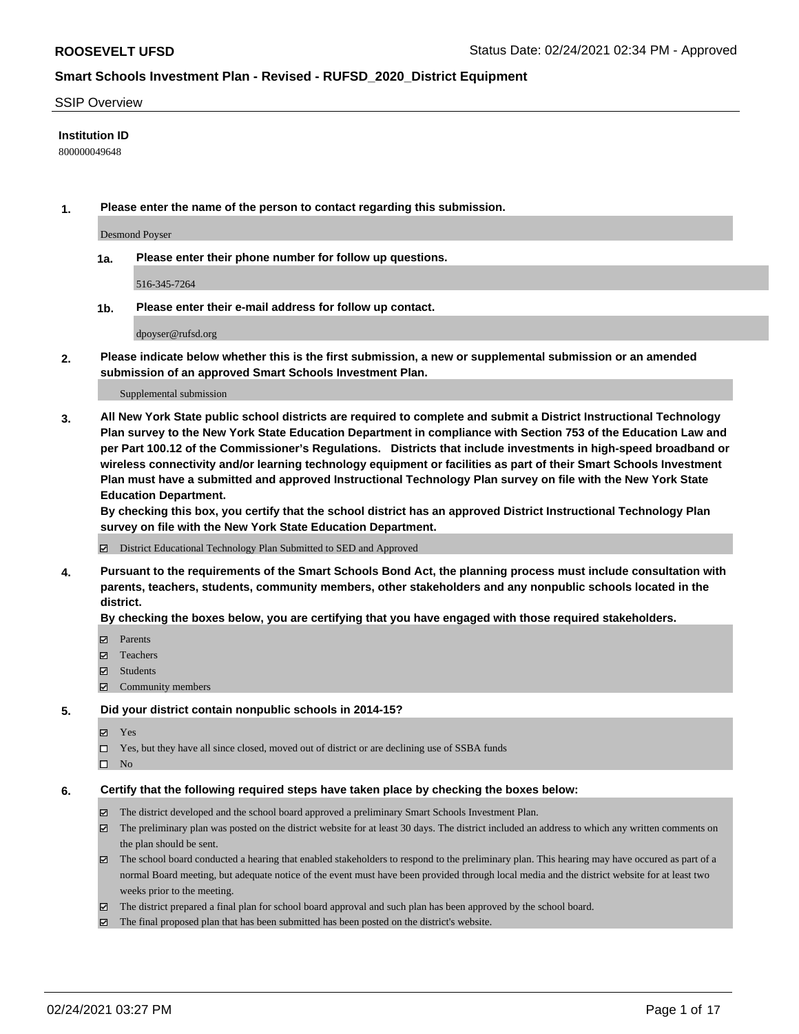#### SSIP Overview

#### **Institution ID**

800000049648

**1. Please enter the name of the person to contact regarding this submission.**

Desmond Poyser

**1a. Please enter their phone number for follow up questions.**

516-345-7264

**1b. Please enter their e-mail address for follow up contact.**

dpoyser@rufsd.org

**2. Please indicate below whether this is the first submission, a new or supplemental submission or an amended submission of an approved Smart Schools Investment Plan.**

#### Supplemental submission

**3. All New York State public school districts are required to complete and submit a District Instructional Technology Plan survey to the New York State Education Department in compliance with Section 753 of the Education Law and per Part 100.12 of the Commissioner's Regulations. Districts that include investments in high-speed broadband or wireless connectivity and/or learning technology equipment or facilities as part of their Smart Schools Investment Plan must have a submitted and approved Instructional Technology Plan survey on file with the New York State Education Department.** 

**By checking this box, you certify that the school district has an approved District Instructional Technology Plan survey on file with the New York State Education Department.**

District Educational Technology Plan Submitted to SED and Approved

**4. Pursuant to the requirements of the Smart Schools Bond Act, the planning process must include consultation with parents, teachers, students, community members, other stakeholders and any nonpublic schools located in the district.** 

#### **By checking the boxes below, you are certifying that you have engaged with those required stakeholders.**

- **Ø** Parents
- Teachers
- Students
- $\Xi$  Community members

#### **5. Did your district contain nonpublic schools in 2014-15?**

- Yes
- □ Yes, but they have all since closed, moved out of district or are declining use of SSBA funds
- $\hfill \square$  No

#### **6. Certify that the following required steps have taken place by checking the boxes below:**

- The district developed and the school board approved a preliminary Smart Schools Investment Plan.
- The preliminary plan was posted on the district website for at least 30 days. The district included an address to which any written comments on the plan should be sent.
- The school board conducted a hearing that enabled stakeholders to respond to the preliminary plan. This hearing may have occured as part of a normal Board meeting, but adequate notice of the event must have been provided through local media and the district website for at least two weeks prior to the meeting.
- The district prepared a final plan for school board approval and such plan has been approved by the school board.
- $\boxtimes$  The final proposed plan that has been submitted has been posted on the district's website.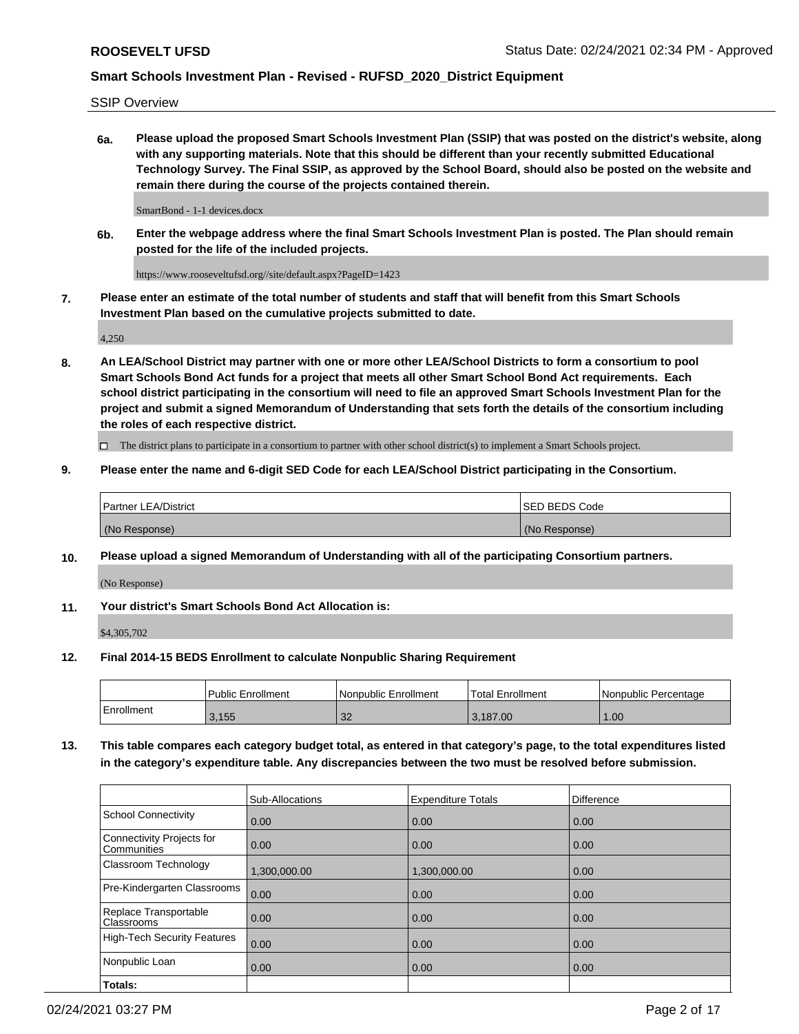SSIP Overview

**6a. Please upload the proposed Smart Schools Investment Plan (SSIP) that was posted on the district's website, along with any supporting materials. Note that this should be different than your recently submitted Educational Technology Survey. The Final SSIP, as approved by the School Board, should also be posted on the website and remain there during the course of the projects contained therein.**

SmartBond - 1-1 devices.docx

**6b. Enter the webpage address where the final Smart Schools Investment Plan is posted. The Plan should remain posted for the life of the included projects.**

https://www.rooseveltufsd.org//site/default.aspx?PageID=1423

**7. Please enter an estimate of the total number of students and staff that will benefit from this Smart Schools Investment Plan based on the cumulative projects submitted to date.**

4,250

**8. An LEA/School District may partner with one or more other LEA/School Districts to form a consortium to pool Smart Schools Bond Act funds for a project that meets all other Smart School Bond Act requirements. Each school district participating in the consortium will need to file an approved Smart Schools Investment Plan for the project and submit a signed Memorandum of Understanding that sets forth the details of the consortium including the roles of each respective district.**

 $\Box$  The district plans to participate in a consortium to partner with other school district(s) to implement a Smart Schools project.

### **9. Please enter the name and 6-digit SED Code for each LEA/School District participating in the Consortium.**

| Partner LEA/District | <b>ISED BEDS Code</b> |
|----------------------|-----------------------|
| (No Response)        | (No Response)         |

### **10. Please upload a signed Memorandum of Understanding with all of the participating Consortium partners.**

(No Response)

### **11. Your district's Smart Schools Bond Act Allocation is:**

\$4,305,702

#### **12. Final 2014-15 BEDS Enrollment to calculate Nonpublic Sharing Requirement**

|            | Public Enrollment | Nonpublic Enrollment | Total Enrollment | l Nonpublic Percentage |
|------------|-------------------|----------------------|------------------|------------------------|
| Enrollment | 3,155             | ാറ<br>- JZ           | .187.00<br>v.    | .00                    |

**13. This table compares each category budget total, as entered in that category's page, to the total expenditures listed in the category's expenditure table. Any discrepancies between the two must be resolved before submission.**

|                                          | Sub-Allocations | <b>Expenditure Totals</b> | Difference |
|------------------------------------------|-----------------|---------------------------|------------|
| <b>School Connectivity</b>               | 0.00            | 0.00                      | 0.00       |
| Connectivity Projects for<br>Communities | 0.00            | 0.00                      | 0.00       |
| Classroom Technology                     | 1,300,000.00    | 1,300,000.00              | 0.00       |
| Pre-Kindergarten Classrooms              | 0.00            | 0.00                      | 0.00       |
| Replace Transportable<br>Classrooms      | 0.00            | 0.00                      | 0.00       |
| <b>High-Tech Security Features</b>       | 0.00            | 0.00                      | 0.00       |
| Nonpublic Loan                           | 0.00            | 0.00                      | 0.00       |
| Totals:                                  |                 |                           |            |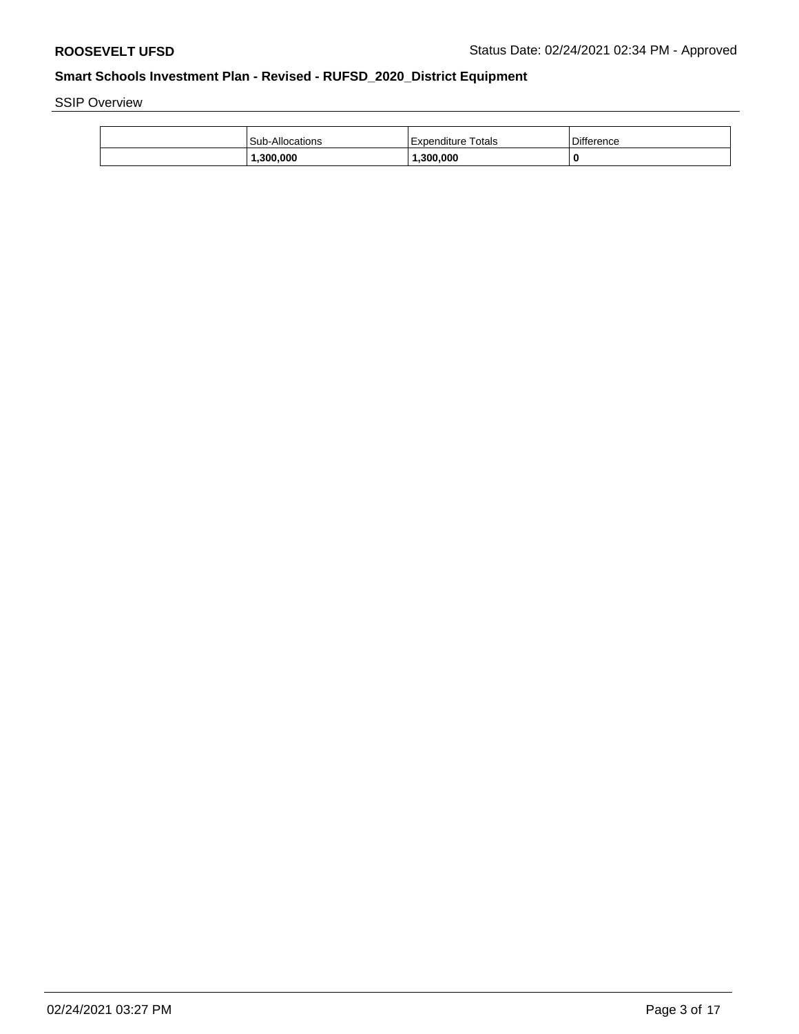SSIP Overview

| <b>Sub-Allocations</b> | Expenditure Totals | <b>Difference</b> |
|------------------------|--------------------|-------------------|
| .300.000               | .300.000           | 0                 |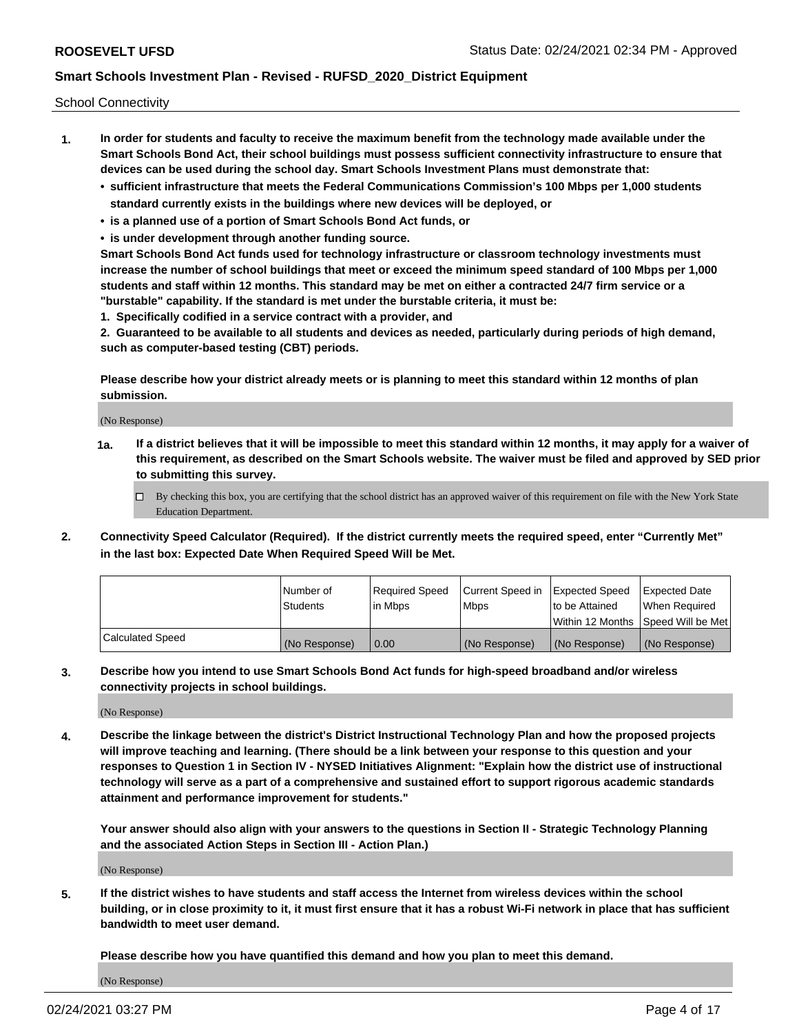School Connectivity

- **1. In order for students and faculty to receive the maximum benefit from the technology made available under the Smart Schools Bond Act, their school buildings must possess sufficient connectivity infrastructure to ensure that devices can be used during the school day. Smart Schools Investment Plans must demonstrate that:**
	- **• sufficient infrastructure that meets the Federal Communications Commission's 100 Mbps per 1,000 students standard currently exists in the buildings where new devices will be deployed, or**
	- **• is a planned use of a portion of Smart Schools Bond Act funds, or**
	- **• is under development through another funding source.**

**Smart Schools Bond Act funds used for technology infrastructure or classroom technology investments must increase the number of school buildings that meet or exceed the minimum speed standard of 100 Mbps per 1,000 students and staff within 12 months. This standard may be met on either a contracted 24/7 firm service or a "burstable" capability. If the standard is met under the burstable criteria, it must be:**

**1. Specifically codified in a service contract with a provider, and**

**2. Guaranteed to be available to all students and devices as needed, particularly during periods of high demand, such as computer-based testing (CBT) periods.**

**Please describe how your district already meets or is planning to meet this standard within 12 months of plan submission.**

(No Response)

**1a. If a district believes that it will be impossible to meet this standard within 12 months, it may apply for a waiver of this requirement, as described on the Smart Schools website. The waiver must be filed and approved by SED prior to submitting this survey.**

 $\Box$  By checking this box, you are certifying that the school district has an approved waiver of this requirement on file with the New York State Education Department.

**2. Connectivity Speed Calculator (Required). If the district currently meets the required speed, enter "Currently Met" in the last box: Expected Date When Required Speed Will be Met.**

|                  | l Number of     | Required Speed | Current Speed in | Expected Speed  | Expected Date                           |
|------------------|-----------------|----------------|------------------|-----------------|-----------------------------------------|
|                  | <b>Students</b> | In Mbps        | l Mbps           | to be Attained  | When Required                           |
|                  |                 |                |                  |                 | l Within 12 Months ISpeed Will be Met l |
| Calculated Speed | (No Response)   | 0.00           | (No Response)    | l (No Response) | l (No Response)                         |

**3. Describe how you intend to use Smart Schools Bond Act funds for high-speed broadband and/or wireless connectivity projects in school buildings.**

(No Response)

**4. Describe the linkage between the district's District Instructional Technology Plan and how the proposed projects will improve teaching and learning. (There should be a link between your response to this question and your responses to Question 1 in Section IV - NYSED Initiatives Alignment: "Explain how the district use of instructional technology will serve as a part of a comprehensive and sustained effort to support rigorous academic standards attainment and performance improvement for students."** 

**Your answer should also align with your answers to the questions in Section II - Strategic Technology Planning and the associated Action Steps in Section III - Action Plan.)**

(No Response)

**5. If the district wishes to have students and staff access the Internet from wireless devices within the school building, or in close proximity to it, it must first ensure that it has a robust Wi-Fi network in place that has sufficient bandwidth to meet user demand.**

**Please describe how you have quantified this demand and how you plan to meet this demand.**

(No Response)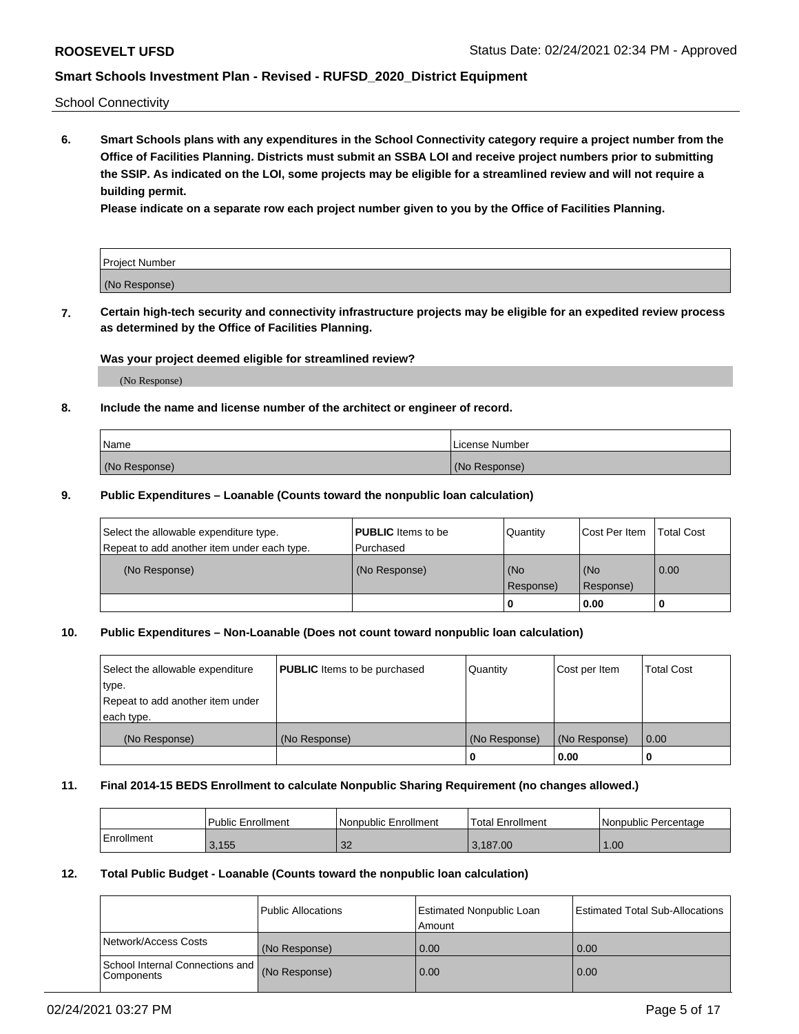School Connectivity

**6. Smart Schools plans with any expenditures in the School Connectivity category require a project number from the Office of Facilities Planning. Districts must submit an SSBA LOI and receive project numbers prior to submitting the SSIP. As indicated on the LOI, some projects may be eligible for a streamlined review and will not require a building permit.**

**Please indicate on a separate row each project number given to you by the Office of Facilities Planning.**

| Project Number |  |
|----------------|--|
| (No Response)  |  |

**7. Certain high-tech security and connectivity infrastructure projects may be eligible for an expedited review process as determined by the Office of Facilities Planning.**

### **Was your project deemed eligible for streamlined review?**

(No Response)

### **8. Include the name and license number of the architect or engineer of record.**

| Name          | License Number |
|---------------|----------------|
| (No Response) | (No Response)  |

#### **9. Public Expenditures – Loanable (Counts toward the nonpublic loan calculation)**

| Select the allowable expenditure type.<br>Repeat to add another item under each type. | <b>PUBLIC</b> Items to be<br>l Purchased | Quantity           | Cost Per Item    | <b>Total Cost</b> |
|---------------------------------------------------------------------------------------|------------------------------------------|--------------------|------------------|-------------------|
| (No Response)                                                                         | (No Response)                            | l (No<br>Response) | (No<br>Response) | $\overline{0.00}$ |
|                                                                                       |                                          | O                  | 0.00             |                   |

### **10. Public Expenditures – Non-Loanable (Does not count toward nonpublic loan calculation)**

| Select the allowable expenditure<br>type.<br>Repeat to add another item under<br>each type. | <b>PUBLIC</b> Items to be purchased | Quantity      | Cost per Item | <b>Total Cost</b> |
|---------------------------------------------------------------------------------------------|-------------------------------------|---------------|---------------|-------------------|
| (No Response)                                                                               | (No Response)                       | (No Response) | (No Response) | 0.00              |
|                                                                                             |                                     |               | 0.00          |                   |

#### **11. Final 2014-15 BEDS Enrollment to calculate Nonpublic Sharing Requirement (no changes allowed.)**

|            | Public Enrollment | l Nonpublic Enrollment | <b>Total Enrollment</b> | Nonpublic Percentage |
|------------|-------------------|------------------------|-------------------------|----------------------|
| Enrollment | 3.155             | າາ<br>ےت               | 3.187.00                | .00 <sub>1</sub>     |

#### **12. Total Public Budget - Loanable (Counts toward the nonpublic loan calculation)**

|                                                      | Public Allocations | <b>Estimated Nonpublic Loan</b><br>Amount | Estimated Total Sub-Allocations |
|------------------------------------------------------|--------------------|-------------------------------------------|---------------------------------|
| Network/Access Costs                                 | (No Response)      | 0.00                                      | 0.00                            |
| School Internal Connections and<br><b>Components</b> | (No Response)      | 0.00                                      | 0.00                            |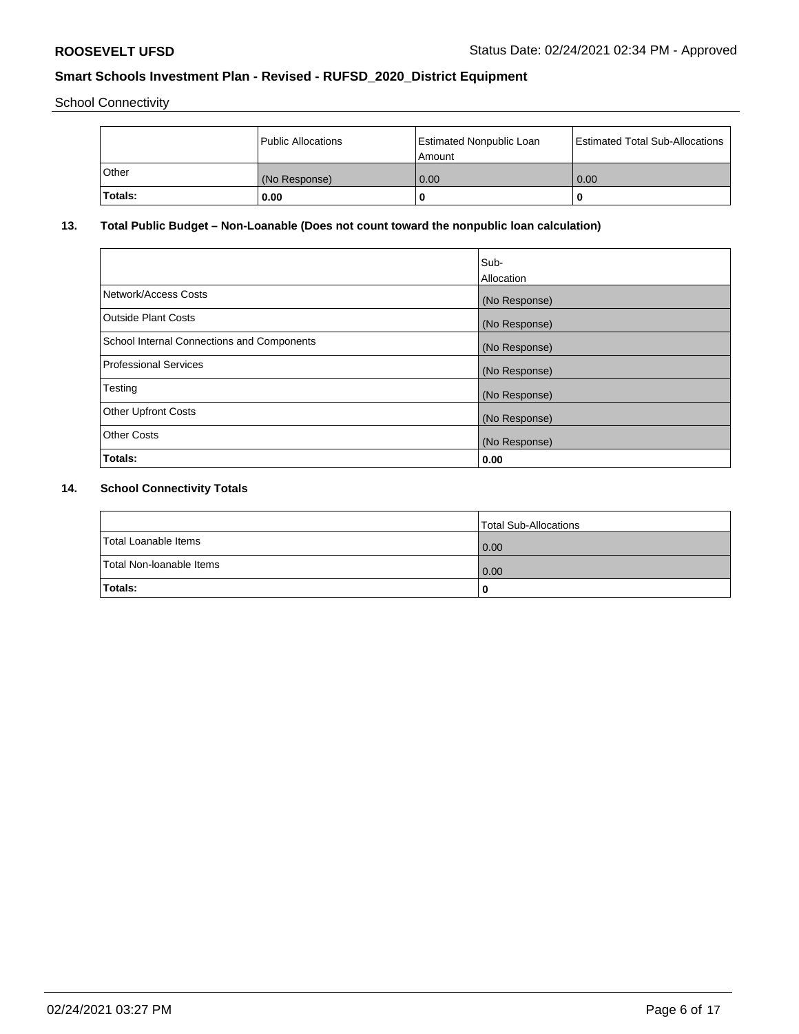School Connectivity

|         | Public Allocations | <b>Estimated Nonpublic Loan</b><br>Amount | <b>Estimated Total Sub-Allocations</b> |
|---------|--------------------|-------------------------------------------|----------------------------------------|
| l Other | (No Response)      | 0.00                                      | 0.00                                   |
| Totals: | 0.00               | 0                                         |                                        |

# **13. Total Public Budget – Non-Loanable (Does not count toward the nonpublic loan calculation)**

|                                                   | Sub-<br>Allocation |
|---------------------------------------------------|--------------------|
|                                                   |                    |
| Network/Access Costs                              | (No Response)      |
| <b>Outside Plant Costs</b>                        | (No Response)      |
| <b>School Internal Connections and Components</b> | (No Response)      |
| Professional Services                             | (No Response)      |
| Testing                                           | (No Response)      |
| <b>Other Upfront Costs</b>                        | (No Response)      |
| <b>Other Costs</b>                                | (No Response)      |
| <b>Totals:</b>                                    | 0.00               |

# **14. School Connectivity Totals**

|                          | Total Sub-Allocations |
|--------------------------|-----------------------|
| Total Loanable Items     | 0.00                  |
| Total Non-Ioanable Items | 0.00                  |
| Totals:                  | 0                     |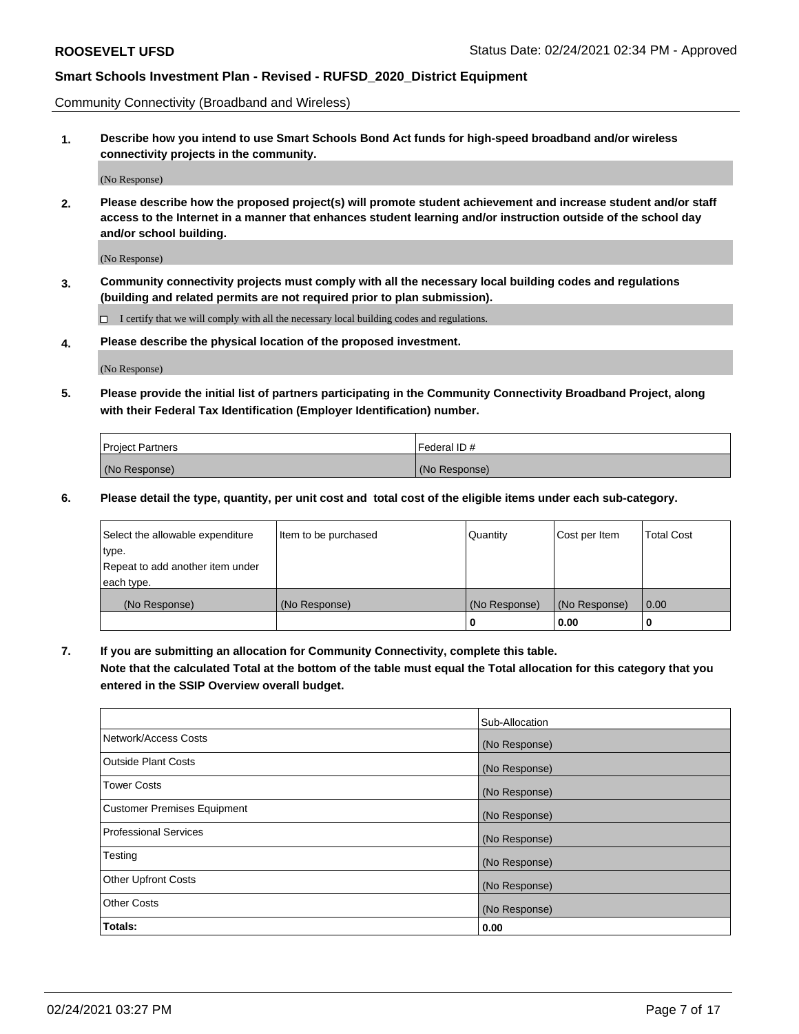Community Connectivity (Broadband and Wireless)

**1. Describe how you intend to use Smart Schools Bond Act funds for high-speed broadband and/or wireless connectivity projects in the community.**

(No Response)

**2. Please describe how the proposed project(s) will promote student achievement and increase student and/or staff access to the Internet in a manner that enhances student learning and/or instruction outside of the school day and/or school building.**

(No Response)

**3. Community connectivity projects must comply with all the necessary local building codes and regulations (building and related permits are not required prior to plan submission).**

 $\Box$  I certify that we will comply with all the necessary local building codes and regulations.

**4. Please describe the physical location of the proposed investment.**

(No Response)

**5. Please provide the initial list of partners participating in the Community Connectivity Broadband Project, along with their Federal Tax Identification (Employer Identification) number.**

| <b>Project Partners</b> | l Federal ID # |
|-------------------------|----------------|
| (No Response)           | (No Response)  |

**6. Please detail the type, quantity, per unit cost and total cost of the eligible items under each sub-category.**

| Select the allowable expenditure | Item to be purchased | Quantity      | Cost per Item | <b>Total Cost</b> |
|----------------------------------|----------------------|---------------|---------------|-------------------|
| type.                            |                      |               |               |                   |
| Repeat to add another item under |                      |               |               |                   |
| each type.                       |                      |               |               |                   |
| (No Response)                    | (No Response)        | (No Response) | (No Response) | 0.00              |
|                                  |                      | o             | 0.00          |                   |

**7. If you are submitting an allocation for Community Connectivity, complete this table.**

**Note that the calculated Total at the bottom of the table must equal the Total allocation for this category that you entered in the SSIP Overview overall budget.**

|                                    | Sub-Allocation |
|------------------------------------|----------------|
| Network/Access Costs               | (No Response)  |
| Outside Plant Costs                | (No Response)  |
| <b>Tower Costs</b>                 | (No Response)  |
| <b>Customer Premises Equipment</b> | (No Response)  |
| <b>Professional Services</b>       | (No Response)  |
| Testing                            | (No Response)  |
| <b>Other Upfront Costs</b>         | (No Response)  |
| <b>Other Costs</b>                 | (No Response)  |
| Totals:                            | 0.00           |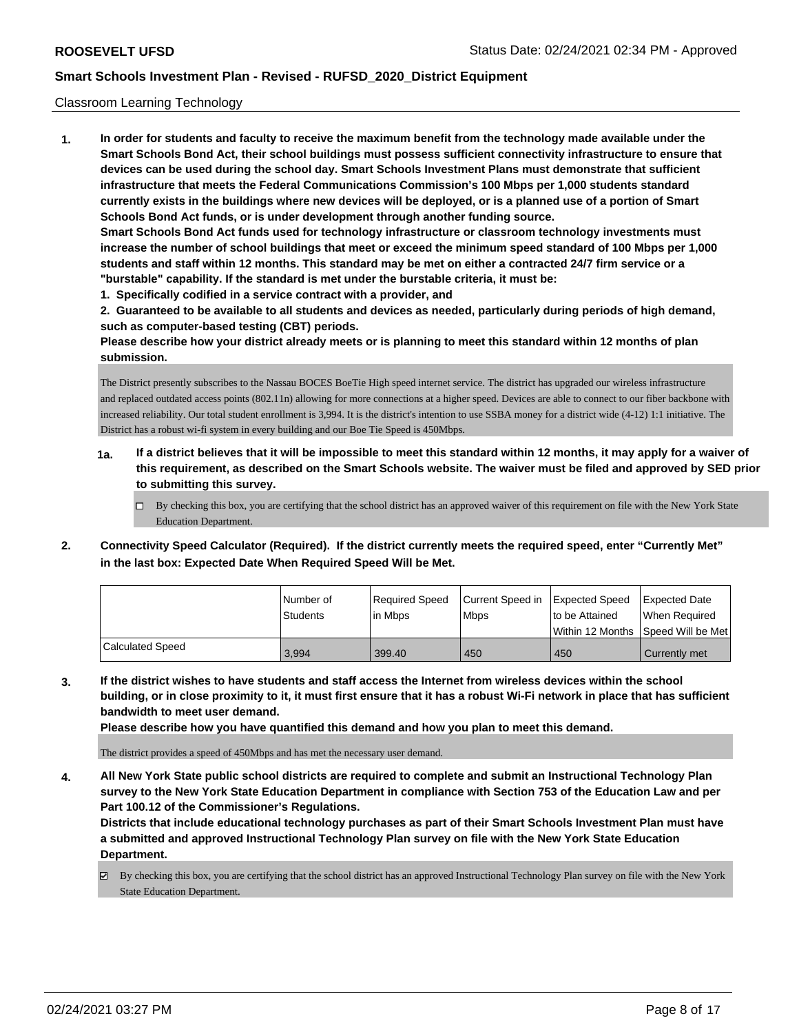#### Classroom Learning Technology

**1. In order for students and faculty to receive the maximum benefit from the technology made available under the Smart Schools Bond Act, their school buildings must possess sufficient connectivity infrastructure to ensure that devices can be used during the school day. Smart Schools Investment Plans must demonstrate that sufficient infrastructure that meets the Federal Communications Commission's 100 Mbps per 1,000 students standard currently exists in the buildings where new devices will be deployed, or is a planned use of a portion of Smart Schools Bond Act funds, or is under development through another funding source. Smart Schools Bond Act funds used for technology infrastructure or classroom technology investments must increase the number of school buildings that meet or exceed the minimum speed standard of 100 Mbps per 1,000 students and staff within 12 months. This standard may be met on either a contracted 24/7 firm service or a "burstable" capability. If the standard is met under the burstable criteria, it must be:**

**1. Specifically codified in a service contract with a provider, and**

**2. Guaranteed to be available to all students and devices as needed, particularly during periods of high demand, such as computer-based testing (CBT) periods.**

**Please describe how your district already meets or is planning to meet this standard within 12 months of plan submission.**

The District presently subscribes to the Nassau BOCES BoeTie High speed internet service. The district has upgraded our wireless infrastructure and replaced outdated access points (802.11n) allowing for more connections at a higher speed. Devices are able to connect to our fiber backbone with increased reliability. Our total student enrollment is 3,994. It is the district's intention to use SSBA money for a district wide (4-12) 1:1 initiative. The District has a robust wi-fi system in every building and our Boe Tie Speed is 450Mbps.

- **1a. If a district believes that it will be impossible to meet this standard within 12 months, it may apply for a waiver of this requirement, as described on the Smart Schools website. The waiver must be filed and approved by SED prior to submitting this survey.**
	- By checking this box, you are certifying that the school district has an approved waiver of this requirement on file with the New York State Education Department.
- **2. Connectivity Speed Calculator (Required). If the district currently meets the required speed, enter "Currently Met" in the last box: Expected Date When Required Speed Will be Met.**

|                         | l Number of<br><b>Students</b> | Required Speed<br>in Mbps | Current Speed in<br><b>Mbps</b> | Expected Speed<br>to be Attained | Expected Date<br>When Required<br>l Within 12 Months ISpeed Will be Met l |
|-------------------------|--------------------------------|---------------------------|---------------------------------|----------------------------------|---------------------------------------------------------------------------|
| <b>Calculated Speed</b> | 3,994                          | 399.40                    | 450                             | 450                              | Currently met                                                             |

**3. If the district wishes to have students and staff access the Internet from wireless devices within the school building, or in close proximity to it, it must first ensure that it has a robust Wi-Fi network in place that has sufficient bandwidth to meet user demand.**

**Please describe how you have quantified this demand and how you plan to meet this demand.**

The district provides a speed of 450Mbps and has met the necessary user demand.

**4. All New York State public school districts are required to complete and submit an Instructional Technology Plan survey to the New York State Education Department in compliance with Section 753 of the Education Law and per Part 100.12 of the Commissioner's Regulations.**

**Districts that include educational technology purchases as part of their Smart Schools Investment Plan must have a submitted and approved Instructional Technology Plan survey on file with the New York State Education Department.**

By checking this box, you are certifying that the school district has an approved Instructional Technology Plan survey on file with the New York State Education Department.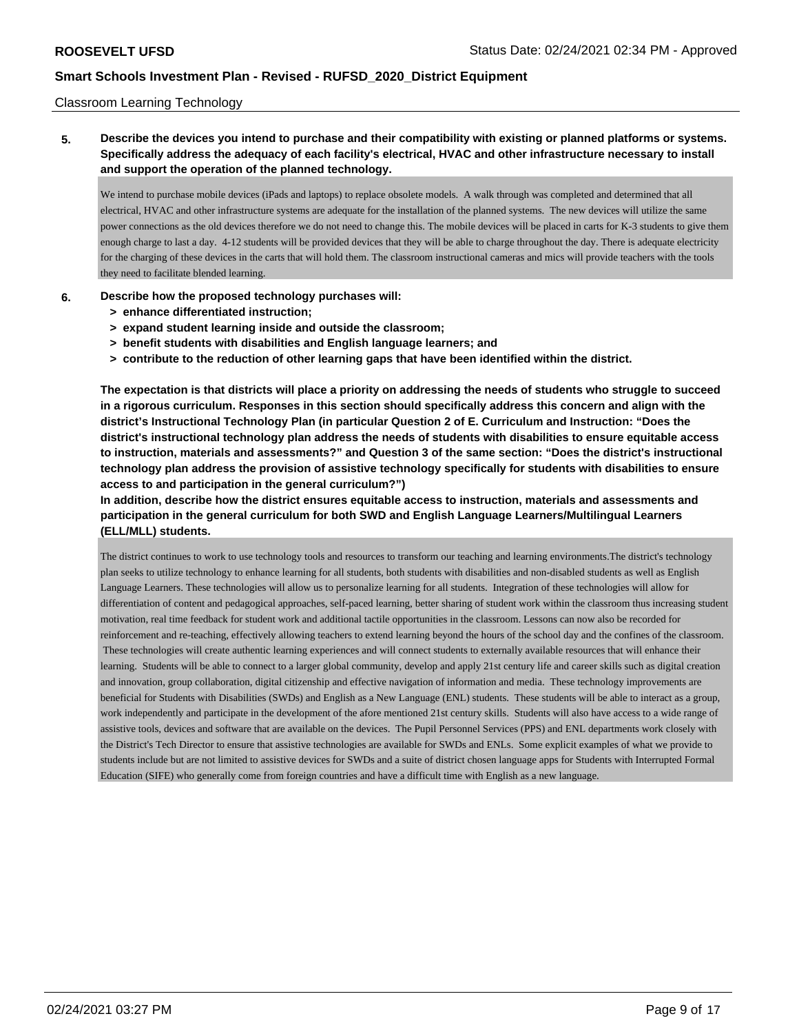#### Classroom Learning Technology

**5. Describe the devices you intend to purchase and their compatibility with existing or planned platforms or systems. Specifically address the adequacy of each facility's electrical, HVAC and other infrastructure necessary to install and support the operation of the planned technology.**

We intend to purchase mobile devices (iPads and laptops) to replace obsolete models. A walk through was completed and determined that all electrical, HVAC and other infrastructure systems are adequate for the installation of the planned systems. The new devices will utilize the same power connections as the old devices therefore we do not need to change this. The mobile devices will be placed in carts for K-3 students to give them enough charge to last a day. 4-12 students will be provided devices that they will be able to charge throughout the day. There is adequate electricity for the charging of these devices in the carts that will hold them. The classroom instructional cameras and mics will provide teachers with the tools they need to facilitate blended learning.

- **6. Describe how the proposed technology purchases will:**
	- **> enhance differentiated instruction;**
	- **> expand student learning inside and outside the classroom;**
	- **> benefit students with disabilities and English language learners; and**
	- **> contribute to the reduction of other learning gaps that have been identified within the district.**

**The expectation is that districts will place a priority on addressing the needs of students who struggle to succeed in a rigorous curriculum. Responses in this section should specifically address this concern and align with the district's Instructional Technology Plan (in particular Question 2 of E. Curriculum and Instruction: "Does the district's instructional technology plan address the needs of students with disabilities to ensure equitable access to instruction, materials and assessments?" and Question 3 of the same section: "Does the district's instructional technology plan address the provision of assistive technology specifically for students with disabilities to ensure access to and participation in the general curriculum?")**

**In addition, describe how the district ensures equitable access to instruction, materials and assessments and participation in the general curriculum for both SWD and English Language Learners/Multilingual Learners (ELL/MLL) students.**

The district continues to work to use technology tools and resources to transform our teaching and learning environments.The district's technology plan seeks to utilize technology to enhance learning for all students, both students with disabilities and non-disabled students as well as English Language Learners. These technologies will allow us to personalize learning for all students. Integration of these technologies will allow for differentiation of content and pedagogical approaches, self-paced learning, better sharing of student work within the classroom thus increasing student motivation, real time feedback for student work and additional tactile opportunities in the classroom. Lessons can now also be recorded for reinforcement and re-teaching, effectively allowing teachers to extend learning beyond the hours of the school day and the confines of the classroom. These technologies will create authentic learning experiences and will connect students to externally available resources that will enhance their learning. Students will be able to connect to a larger global community, develop and apply 21st century life and career skills such as digital creation and innovation, group collaboration, digital citizenship and effective navigation of information and media. These technology improvements are beneficial for Students with Disabilities (SWDs) and English as a New Language (ENL) students. These students will be able to interact as a group, work independently and participate in the development of the afore mentioned 21st century skills. Students will also have access to a wide range of assistive tools, devices and software that are available on the devices. The Pupil Personnel Services (PPS) and ENL departments work closely with the District's Tech Director to ensure that assistive technologies are available for SWDs and ENLs. Some explicit examples of what we provide to students include but are not limited to assistive devices for SWDs and a suite of district chosen language apps for Students with Interrupted Formal Education (SIFE) who generally come from foreign countries and have a difficult time with English as a new language.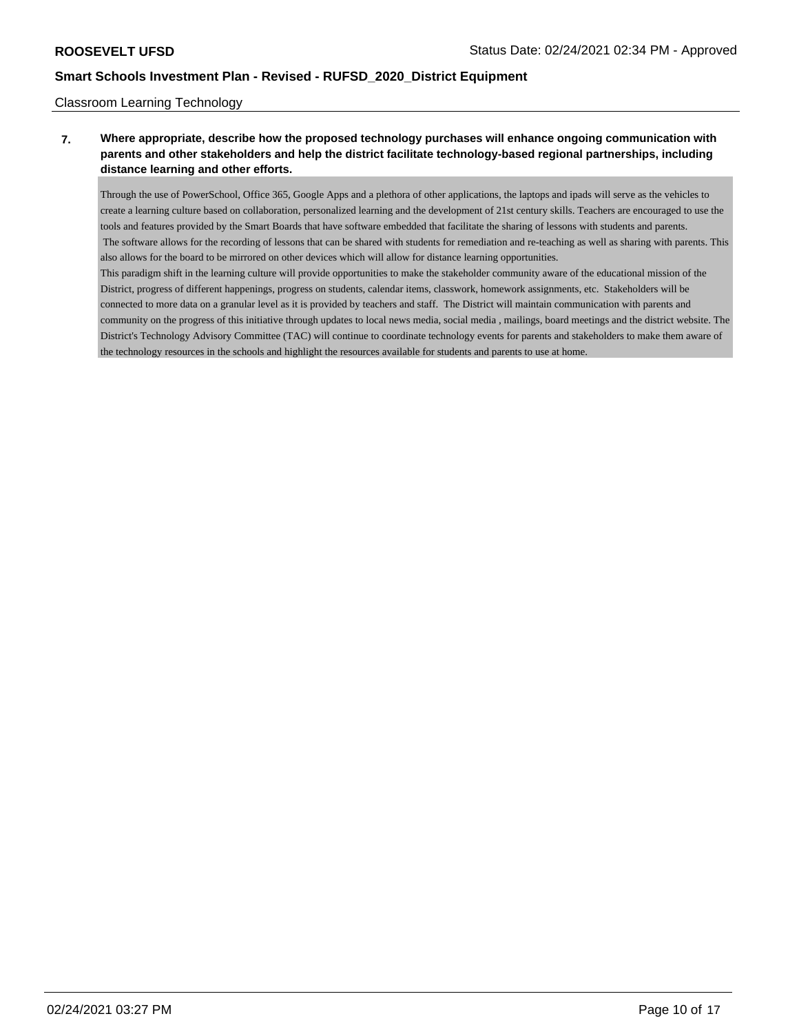### Classroom Learning Technology

## **7. Where appropriate, describe how the proposed technology purchases will enhance ongoing communication with parents and other stakeholders and help the district facilitate technology-based regional partnerships, including distance learning and other efforts.**

Through the use of PowerSchool, Office 365, Google Apps and a plethora of other applications, the laptops and ipads will serve as the vehicles to create a learning culture based on collaboration, personalized learning and the development of 21st century skills. Teachers are encouraged to use the tools and features provided by the Smart Boards that have software embedded that facilitate the sharing of lessons with students and parents. The software allows for the recording of lessons that can be shared with students for remediation and re-teaching as well as sharing with parents. This also allows for the board to be mirrored on other devices which will allow for distance learning opportunities.

This paradigm shift in the learning culture will provide opportunities to make the stakeholder community aware of the educational mission of the District, progress of different happenings, progress on students, calendar items, classwork, homework assignments, etc. Stakeholders will be connected to more data on a granular level as it is provided by teachers and staff. The District will maintain communication with parents and community on the progress of this initiative through updates to local news media, social media , mailings, board meetings and the district website. The District's Technology Advisory Committee (TAC) will continue to coordinate technology events for parents and stakeholders to make them aware of the technology resources in the schools and highlight the resources available for students and parents to use at home.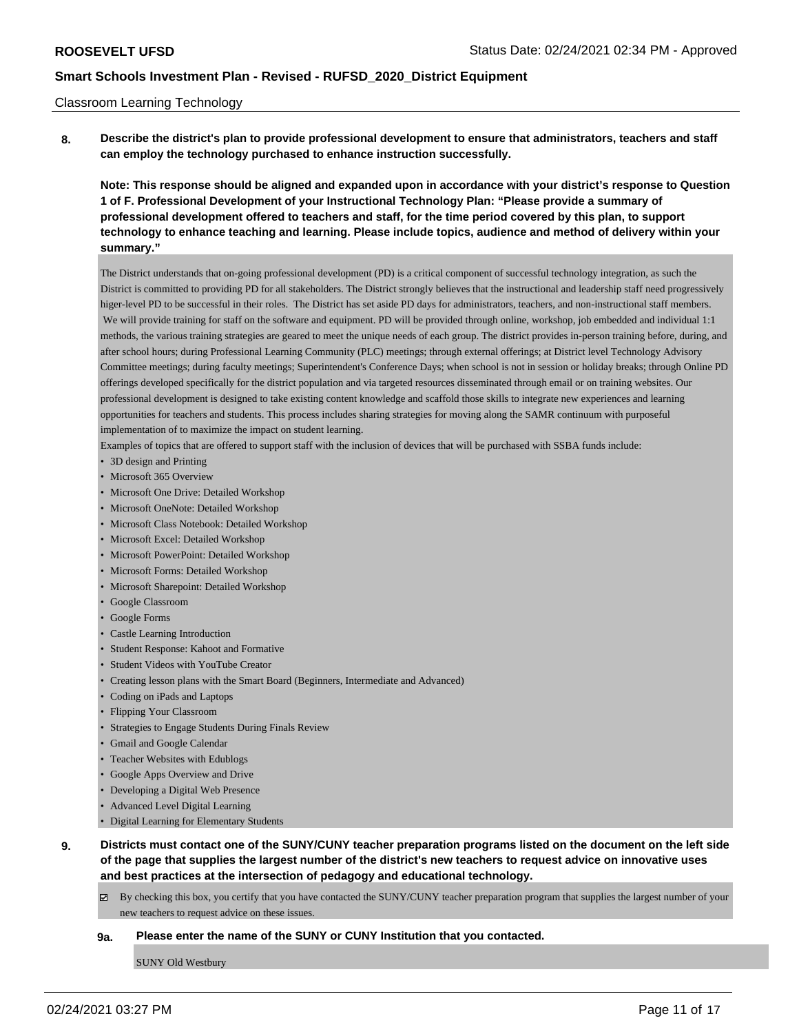#### Classroom Learning Technology

**8. Describe the district's plan to provide professional development to ensure that administrators, teachers and staff can employ the technology purchased to enhance instruction successfully.**

**Note: This response should be aligned and expanded upon in accordance with your district's response to Question 1 of F. Professional Development of your Instructional Technology Plan: "Please provide a summary of professional development offered to teachers and staff, for the time period covered by this plan, to support technology to enhance teaching and learning. Please include topics, audience and method of delivery within your summary."**

The District understands that on-going professional development (PD) is a critical component of successful technology integration, as such the District is committed to providing PD for all stakeholders. The District strongly believes that the instructional and leadership staff need progressively higer-level PD to be successful in their roles. The District has set aside PD days for administrators, teachers, and non-instructional staff members. We will provide training for staff on the software and equipment. PD will be provided through online, workshop, job embedded and individual 1:1 methods, the various training strategies are geared to meet the unique needs of each group. The district provides in-person training before, during, and after school hours; during Professional Learning Community (PLC) meetings; through external offerings; at District level Technology Advisory Committee meetings; during faculty meetings; Superintendent's Conference Days; when school is not in session or holiday breaks; through Online PD offerings developed specifically for the district population and via targeted resources disseminated through email or on training websites. Our professional development is designed to take existing content knowledge and scaffold those skills to integrate new experiences and learning opportunities for teachers and students. This process includes sharing strategies for moving along the SAMR continuum with purposeful implementation of to maximize the impact on student learning.

Examples of topics that are offered to support staff with the inclusion of devices that will be purchased with SSBA funds include:

- 3D design and Printing
- Microsoft 365 Overview
- Microsoft One Drive: Detailed Workshop
- Microsoft OneNote: Detailed Workshop
- Microsoft Class Notebook: Detailed Workshop
- Microsoft Excel: Detailed Workshop
- Microsoft PowerPoint: Detailed Workshop
- Microsoft Forms: Detailed Workshop
- Microsoft Sharepoint: Detailed Workshop
- Google Classroom
- Google Forms
- Castle Learning Introduction
- Student Response: Kahoot and Formative
- Student Videos with YouTube Creator
- Creating lesson plans with the Smart Board (Beginners, Intermediate and Advanced)
- Coding on iPads and Laptops
- Flipping Your Classroom
- Strategies to Engage Students During Finals Review
- Gmail and Google Calendar
- Teacher Websites with Edublogs
- Google Apps Overview and Drive
- Developing a Digital Web Presence
- Advanced Level Digital Learning
- Digital Learning for Elementary Students
- **9. Districts must contact one of the SUNY/CUNY teacher preparation programs listed on the document on the left side of the page that supplies the largest number of the district's new teachers to request advice on innovative uses and best practices at the intersection of pedagogy and educational technology.**
	- By checking this box, you certify that you have contacted the SUNY/CUNY teacher preparation program that supplies the largest number of your new teachers to request advice on these issues.

#### **9a. Please enter the name of the SUNY or CUNY Institution that you contacted.**

SUNY Old Westbury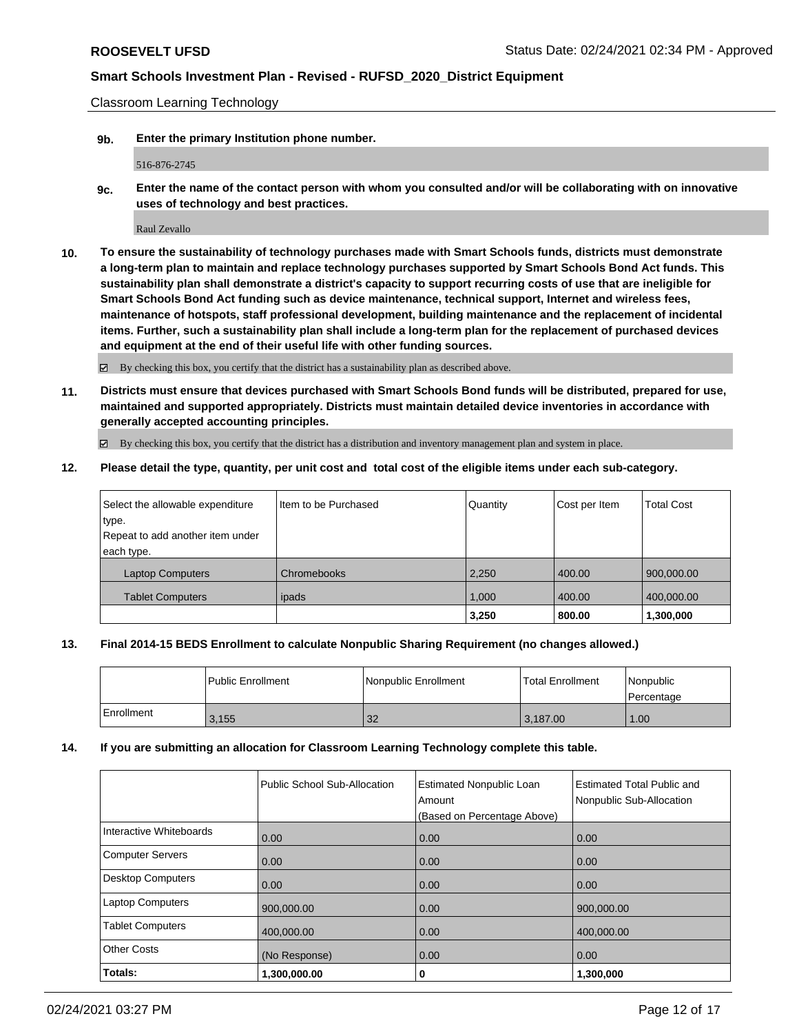Classroom Learning Technology

**9b. Enter the primary Institution phone number.**

516-876-2745

**9c. Enter the name of the contact person with whom you consulted and/or will be collaborating with on innovative uses of technology and best practices.**

Raul Zevallo

**10. To ensure the sustainability of technology purchases made with Smart Schools funds, districts must demonstrate a long-term plan to maintain and replace technology purchases supported by Smart Schools Bond Act funds. This sustainability plan shall demonstrate a district's capacity to support recurring costs of use that are ineligible for Smart Schools Bond Act funding such as device maintenance, technical support, Internet and wireless fees, maintenance of hotspots, staff professional development, building maintenance and the replacement of incidental items. Further, such a sustainability plan shall include a long-term plan for the replacement of purchased devices and equipment at the end of their useful life with other funding sources.**

By checking this box, you certify that the district has a sustainability plan as described above.

**11. Districts must ensure that devices purchased with Smart Schools Bond funds will be distributed, prepared for use, maintained and supported appropriately. Districts must maintain detailed device inventories in accordance with generally accepted accounting principles.**

By checking this box, you certify that the district has a distribution and inventory management plan and system in place.

**12. Please detail the type, quantity, per unit cost and total cost of the eligible items under each sub-category.**

| Select the allowable expenditure | Item to be Purchased | Quantity | Cost per Item | <b>Total Cost</b> |
|----------------------------------|----------------------|----------|---------------|-------------------|
| type.                            |                      |          |               |                   |
| Repeat to add another item under |                      |          |               |                   |
| each type.                       |                      |          |               |                   |
| <b>Laptop Computers</b>          | Chromebooks          | 2,250    | 400.00        | 900,000.00        |
| <b>Tablet Computers</b>          | ipads                | 1.000    | 400.00        | 400,000.00        |
|                                  |                      | 3,250    | 800.00        | 1,300,000         |

### **13. Final 2014-15 BEDS Enrollment to calculate Nonpublic Sharing Requirement (no changes allowed.)**

|              | l Public Enrollment | Nonpublic Enrollment | l Total Enrollment | Nonpublic<br>l Percentage |
|--------------|---------------------|----------------------|--------------------|---------------------------|
| l Enrollment | 3,155               | 32                   | 3,187.00           | 1.00                      |

### **14. If you are submitting an allocation for Classroom Learning Technology complete this table.**

|                          | Public School Sub-Allocation | <b>Estimated Nonpublic Loan</b><br>Amount | Estimated Total Public and<br>Nonpublic Sub-Allocation |
|--------------------------|------------------------------|-------------------------------------------|--------------------------------------------------------|
|                          |                              | (Based on Percentage Above)               |                                                        |
| Interactive Whiteboards  | 0.00                         | 0.00                                      | 0.00                                                   |
| <b>Computer Servers</b>  | 0.00                         | 0.00                                      | 0.00                                                   |
| <b>Desktop Computers</b> | 0.00                         | 0.00                                      | 0.00                                                   |
| <b>Laptop Computers</b>  | 900,000.00                   | 0.00                                      | 900,000.00                                             |
| <b>Tablet Computers</b>  | 400,000.00                   | 0.00                                      | 400,000.00                                             |
| <b>Other Costs</b>       | (No Response)                | 0.00                                      | 0.00                                                   |
| Totals:                  | 1,300,000.00                 | 0                                         | 1,300,000                                              |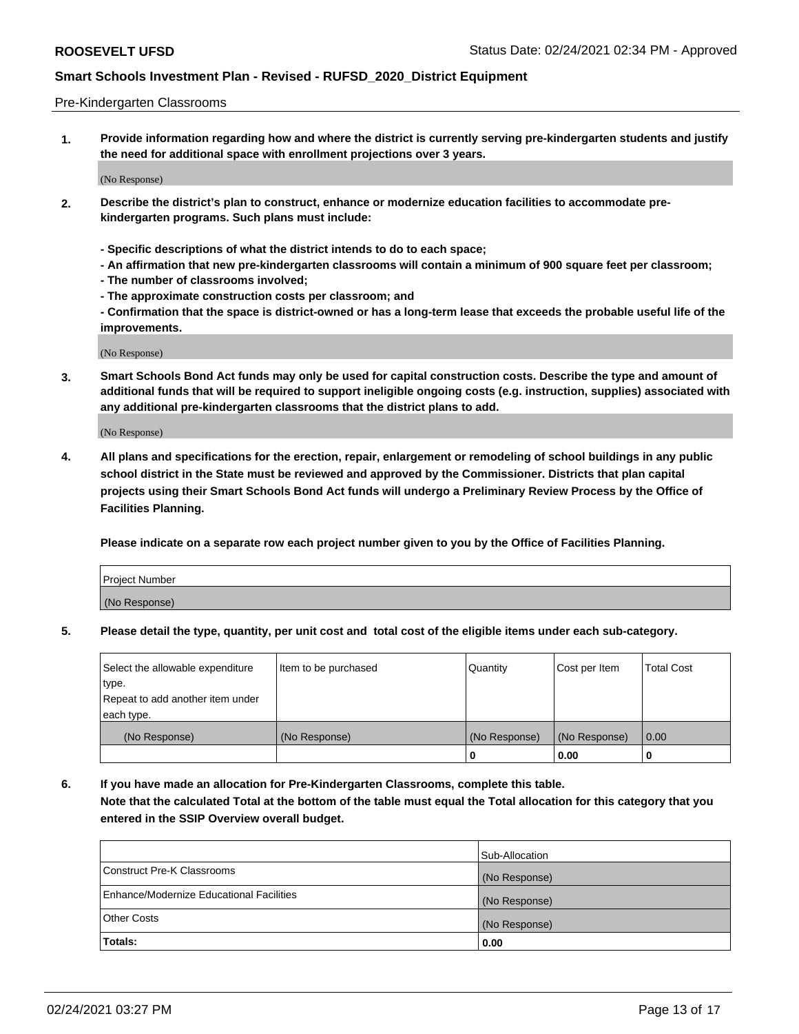#### Pre-Kindergarten Classrooms

**1. Provide information regarding how and where the district is currently serving pre-kindergarten students and justify the need for additional space with enrollment projections over 3 years.**

(No Response)

- **2. Describe the district's plan to construct, enhance or modernize education facilities to accommodate prekindergarten programs. Such plans must include:**
	- **Specific descriptions of what the district intends to do to each space;**
	- **An affirmation that new pre-kindergarten classrooms will contain a minimum of 900 square feet per classroom;**
	- **The number of classrooms involved;**
	- **The approximate construction costs per classroom; and**
	- **Confirmation that the space is district-owned or has a long-term lease that exceeds the probable useful life of the improvements.**

(No Response)

**3. Smart Schools Bond Act funds may only be used for capital construction costs. Describe the type and amount of additional funds that will be required to support ineligible ongoing costs (e.g. instruction, supplies) associated with any additional pre-kindergarten classrooms that the district plans to add.**

(No Response)

**4. All plans and specifications for the erection, repair, enlargement or remodeling of school buildings in any public school district in the State must be reviewed and approved by the Commissioner. Districts that plan capital projects using their Smart Schools Bond Act funds will undergo a Preliminary Review Process by the Office of Facilities Planning.**

**Please indicate on a separate row each project number given to you by the Office of Facilities Planning.**

| Project Number |  |
|----------------|--|
| (No Response)  |  |
|                |  |

**5. Please detail the type, quantity, per unit cost and total cost of the eligible items under each sub-category.**

| Select the allowable expenditure | Item to be purchased | Quantity      | Cost per Item | <b>Total Cost</b> |
|----------------------------------|----------------------|---------------|---------------|-------------------|
| type.                            |                      |               |               |                   |
| Repeat to add another item under |                      |               |               |                   |
| each type.                       |                      |               |               |                   |
| (No Response)                    | (No Response)        | (No Response) | (No Response) | 0.00              |
|                                  |                      | U             | 0.00          |                   |

**6. If you have made an allocation for Pre-Kindergarten Classrooms, complete this table. Note that the calculated Total at the bottom of the table must equal the Total allocation for this category that you entered in the SSIP Overview overall budget.**

|                                          | Sub-Allocation |
|------------------------------------------|----------------|
| Construct Pre-K Classrooms               | (No Response)  |
| Enhance/Modernize Educational Facilities | (No Response)  |
| <b>Other Costs</b>                       | (No Response)  |
| Totals:                                  | 0.00           |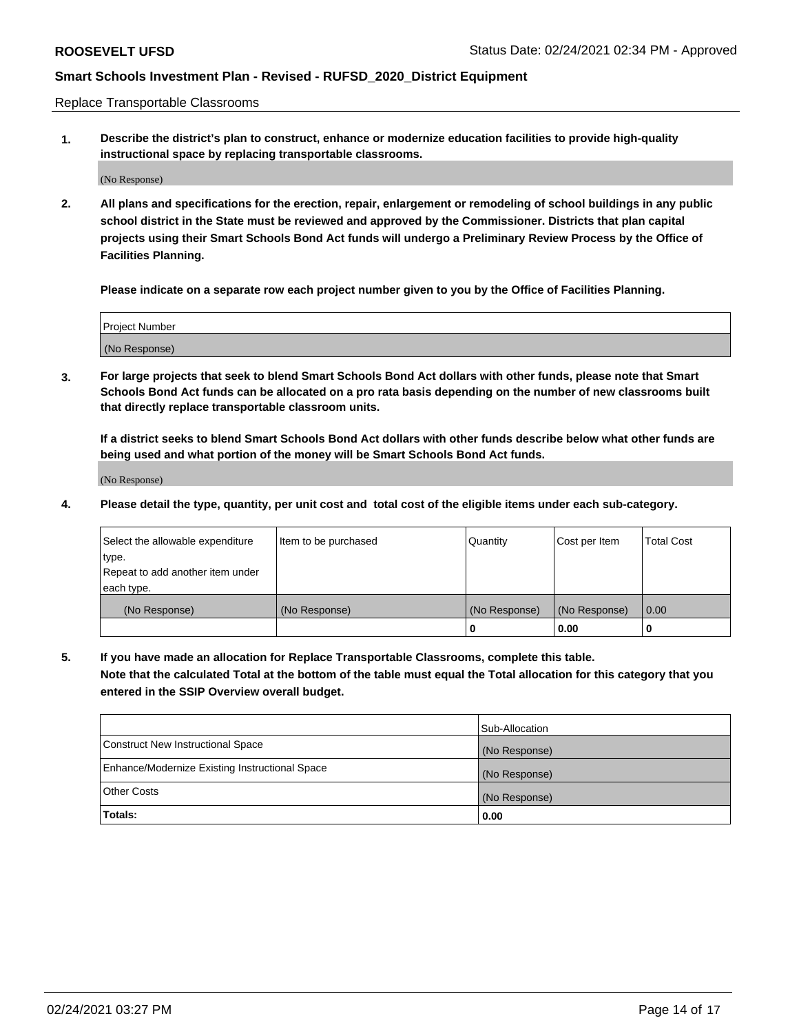Replace Transportable Classrooms

**1. Describe the district's plan to construct, enhance or modernize education facilities to provide high-quality instructional space by replacing transportable classrooms.**

(No Response)

**2. All plans and specifications for the erection, repair, enlargement or remodeling of school buildings in any public school district in the State must be reviewed and approved by the Commissioner. Districts that plan capital projects using their Smart Schools Bond Act funds will undergo a Preliminary Review Process by the Office of Facilities Planning.**

**Please indicate on a separate row each project number given to you by the Office of Facilities Planning.**

| Project Number |  |
|----------------|--|
|                |  |
|                |  |
|                |  |
| (No Response)  |  |
|                |  |
|                |  |

**3. For large projects that seek to blend Smart Schools Bond Act dollars with other funds, please note that Smart Schools Bond Act funds can be allocated on a pro rata basis depending on the number of new classrooms built that directly replace transportable classroom units.**

**If a district seeks to blend Smart Schools Bond Act dollars with other funds describe below what other funds are being used and what portion of the money will be Smart Schools Bond Act funds.**

(No Response)

**4. Please detail the type, quantity, per unit cost and total cost of the eligible items under each sub-category.**

| Select the allowable expenditure | Item to be purchased | Quantity      | Cost per Item | Total Cost |
|----------------------------------|----------------------|---------------|---------------|------------|
| ∣type.                           |                      |               |               |            |
| Repeat to add another item under |                      |               |               |            |
| each type.                       |                      |               |               |            |
| (No Response)                    | (No Response)        | (No Response) | (No Response) | 0.00       |
|                                  |                      | u             | 0.00          |            |

**5. If you have made an allocation for Replace Transportable Classrooms, complete this table. Note that the calculated Total at the bottom of the table must equal the Total allocation for this category that you entered in the SSIP Overview overall budget.**

|                                                | Sub-Allocation |
|------------------------------------------------|----------------|
| Construct New Instructional Space              | (No Response)  |
| Enhance/Modernize Existing Instructional Space | (No Response)  |
| Other Costs                                    | (No Response)  |
| Totals:                                        | 0.00           |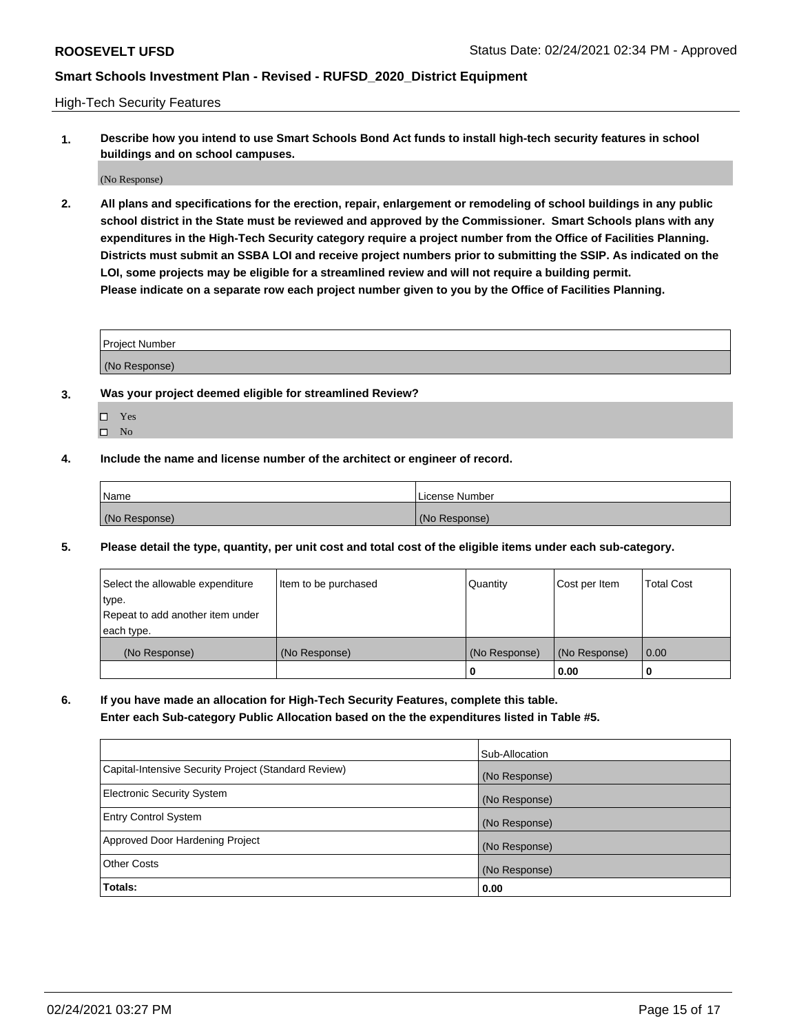High-Tech Security Features

**1. Describe how you intend to use Smart Schools Bond Act funds to install high-tech security features in school buildings and on school campuses.**

(No Response)

**2. All plans and specifications for the erection, repair, enlargement or remodeling of school buildings in any public school district in the State must be reviewed and approved by the Commissioner. Smart Schools plans with any expenditures in the High-Tech Security category require a project number from the Office of Facilities Planning. Districts must submit an SSBA LOI and receive project numbers prior to submitting the SSIP. As indicated on the LOI, some projects may be eligible for a streamlined review and will not require a building permit. Please indicate on a separate row each project number given to you by the Office of Facilities Planning.**

| <b>Project Number</b> |  |
|-----------------------|--|
| (No Response)         |  |

- **3. Was your project deemed eligible for streamlined Review?**
	- Yes
	- $\hfill \square$  No
- **4. Include the name and license number of the architect or engineer of record.**

| Name          | License Number |
|---------------|----------------|
| (No Response) | (No Response)  |

**5. Please detail the type, quantity, per unit cost and total cost of the eligible items under each sub-category.**

| Select the allowable expenditure | Item to be purchased | Quantity      | Cost per Item | <b>Total Cost</b> |
|----------------------------------|----------------------|---------------|---------------|-------------------|
| type.                            |                      |               |               |                   |
| Repeat to add another item under |                      |               |               |                   |
| each type.                       |                      |               |               |                   |
| (No Response)                    | (No Response)        | (No Response) | (No Response) | 0.00              |
|                                  |                      | 0             | 0.00          |                   |

**6. If you have made an allocation for High-Tech Security Features, complete this table.**

**Enter each Sub-category Public Allocation based on the the expenditures listed in Table #5.**

|                                                      | Sub-Allocation |
|------------------------------------------------------|----------------|
| Capital-Intensive Security Project (Standard Review) | (No Response)  |
| <b>Electronic Security System</b>                    | (No Response)  |
| <b>Entry Control System</b>                          | (No Response)  |
| Approved Door Hardening Project                      | (No Response)  |
| <b>Other Costs</b>                                   | (No Response)  |
| Totals:                                              | 0.00           |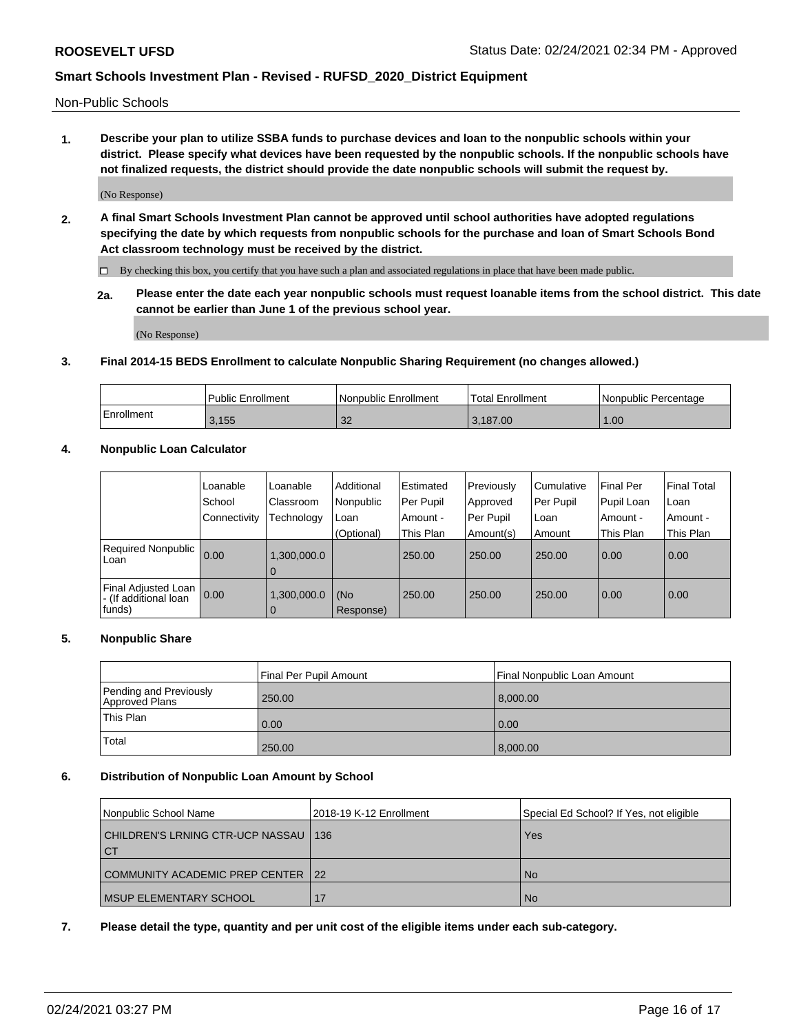Non-Public Schools

**1. Describe your plan to utilize SSBA funds to purchase devices and loan to the nonpublic schools within your district. Please specify what devices have been requested by the nonpublic schools. If the nonpublic schools have not finalized requests, the district should provide the date nonpublic schools will submit the request by.**

(No Response)

**2. A final Smart Schools Investment Plan cannot be approved until school authorities have adopted regulations specifying the date by which requests from nonpublic schools for the purchase and loan of Smart Schools Bond Act classroom technology must be received by the district.**

By checking this box, you certify that you have such a plan and associated regulations in place that have been made public.

**2a. Please enter the date each year nonpublic schools must request loanable items from the school district. This date cannot be earlier than June 1 of the previous school year.**

(No Response)

### **3. Final 2014-15 BEDS Enrollment to calculate Nonpublic Sharing Requirement (no changes allowed.)**

|            | Public Enrollment | Nonpublic Enrollment | Total Enrollment | l Nonpublic Percentage |
|------------|-------------------|----------------------|------------------|------------------------|
| Enrollment | 3,155             | $\Omega$<br>ےں       | 3.187.00         | 1.00                   |

### **4. Nonpublic Loan Calculator**

|                                                        | Loanable     | Loanable                      | Additional       | Estimated | Previously | Cumulative | <b>Final Per</b> | <b>Final Total</b> |
|--------------------------------------------------------|--------------|-------------------------------|------------------|-----------|------------|------------|------------------|--------------------|
|                                                        | School       | Classroom                     | Nonpublic        | Per Pupil | Approved   | Per Pupil  | Pupil Loan       | Loan               |
|                                                        | Connectivity | Technology                    | Loan             | Amount -  | Per Pupil  | Loan       | Amount -         | Amount -           |
|                                                        |              |                               | (Optional)       | This Plan | Amount(s)  | Amount     | This Plan        | This Plan          |
| Required Nonpublic<br>Loan                             | 0.00         | .300,000.0<br>l 0             |                  | 250.00    | 250.00     | 250.00     | 0.00             | 0.00               |
| Final Adjusted Loan<br>- (If additional loan<br>funds) | 0.00         | 1,300,000.0<br>$\overline{0}$ | (No<br>Response) | 250.00    | 250.00     | 250.00     | 0.00             | $\overline{0.00}$  |

### **5. Nonpublic Share**

|                                          | Final Per Pupil Amount | Final Nonpublic Loan Amount |
|------------------------------------------|------------------------|-----------------------------|
| Pending and Previously<br>Approved Plans | 250.00                 | 8,000.00                    |
| This Plan                                | 0.00                   | $\vert$ 0.00                |
| Total                                    | 250.00                 | 8,000.00                    |

### **6. Distribution of Nonpublic Loan Amount by School**

| Nonpublic School Name                          | 2018-19 K-12 Enrollment | Special Ed School? If Yes, not eligible |
|------------------------------------------------|-------------------------|-----------------------------------------|
| CHILDREN'S LRNING CTR-UCP NASSAU_<br><b>CT</b> | 136                     | Yes                                     |
| COMMUNITY ACADEMIC PREP CENTER 122             |                         | <b>No</b>                               |
| <b>I MSUP ELEMENTARY SCHOOL</b>                | 17                      | <b>No</b>                               |

### **7. Please detail the type, quantity and per unit cost of the eligible items under each sub-category.**